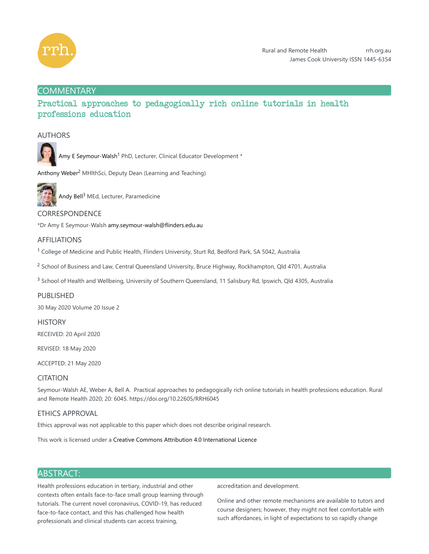

# **COMMENTARY**

# Practical approaches to pedagogically rich online tutorials in health professions education

### AUTHORS



Amy E Seymour-Walsh<sup>1</sup> PhD, Lecturer, Clinical Educator Development \*

Anthony Weber<sup>2</sup> MHlthSci, Deputy Dean (Learning and Teaching)



Andy Bell<sup>3</sup> MEd, Lecturer, Paramedicine

### CORRESPONDENCE

\*Dr Amy E Seymour-Walsh amy.seymour-walsh@flinders.edu.au

### AFFILIATIONS

 $1$  College of Medicine and Public Health, Flinders University, Sturt Rd, Bedford Park, SA 5042, Australia

 $^2$  School of Business and Law, Central Queensland University, Bruce Highway, Rockhampton, Qld 4701, Australia

<sup>3</sup> School of Health and Wellbeing, University of Southern Queensland, 11 Salisbury Rd, Ipswich, Qld 4305, Australia

### PUBLISHED

30 May 2020 Volume 20 Issue 2

### **HISTORY**

RECEIVED: 20 April 2020

REVISED: 18 May 2020

ACCEPTED: 21 May 2020

### CITATION

Seymour-Walsh AE, Weber A, Bell A. Practical approaches to pedagogically rich online tutorials in health professions education. Rural and Remote Health 2020; 20: 6045. https://doi.org/10.22605/RRH6045

### ETHICS APPROVAL

Ethics approval was not applicable to this paper which does not describe original research.

This work is licensed under a Creative Commons Attribution 4.0 International Licence

### ABSTRACT:

Health professions education in tertiary, industrial and other contexts often entails face-to-face small group learning through tutorials. The current novel coronavirus, COVID-19, has reduced face-to-face contact, and this has challenged how health professionals and clinical students can access training,

accreditation and development.

Online and other remote mechanisms are available to tutors and course designers; however, they might not feel comfortable with such affordances, in light of expectations to so rapidly change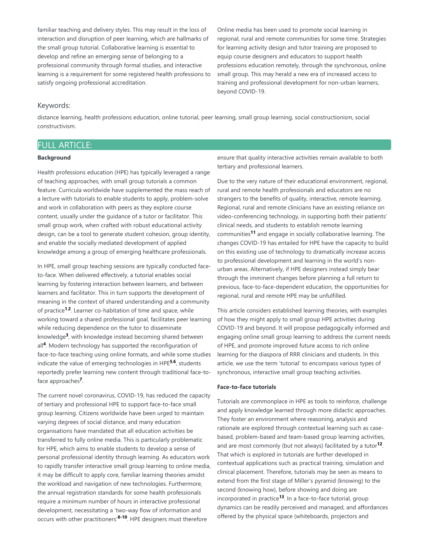familiar teaching and delivery styles. This may result in the loss of interaction and disruption of peer learning, which are hallmarks of the small group tutorial. Collaborative learning is essential to develop and refine an emerging sense of belonging to a professional community through formal studies, and interactive learning is a requirement for some registered health professions to satisfy ongoing professional accreditation.

Online media has been used to promote social learning in regional, rural and remote communities for some time. Strategies for learning activity design and tutor training are proposed to equip course designers and educators to support health professions education remotely, through the synchronous, online small group. This may herald a new era of increased access to training and professional development for non-urban learners, beyond COVID-19.

#### Keywords:

distance learning, health professions education, online tutorial, peer learning, small group learning, social constructionism, social constructivism.

## FULL ARTICLE:

#### **Background**

Health professions education (HPE) has typically leveraged a range of teaching approaches, with small group tutorials a common feature. Curricula worldwide have supplemented the mass reach of a lecture with tutorials to enable students to apply, problem-solve and work in collaboration with peers as they explore course content, usually under the guidance of a tutor or facilitator. This small group work, when crafted with robust educational activity design, can be a tool to generate student cohesion, group identity, and enable the socially mediated development of applied knowledge among a group of emerging healthcare professionals.

In HPE, small group teaching sessions are typically conducted faceto-face. When delivered effectively, a tutorial enables social learning by fostering interaction between learners, and between learners and facilitator. This in turn supports the development of meaning in the context of shared understanding and a community of practice<sup>1,2</sup>. Learner co-habitation of time and space, while working toward a shared professional goal, facilitates peer learning while reducing dependence on the tutor to disseminate knowledge<sup>3</sup>, with knowledge instead becoming shared between all<sup>4</sup>. Modern technology has supported the reconfiguration of face-to-face teaching using online formats, and while some studies indicate the value of emerging technologies in HPE<sup>5,6</sup>, students reportedly prefer learning new content through traditional face-toface approaches<sup>7</sup>.

The current novel coronavirus, COVID-19, has reduced the capacity of tertiary and professional HPE to support face-to-face small group learning. Citizens worldwide have been urged to maintain varying degrees of social distance, and many education organisations have mandated that all education activities be transferred to fully online media. This is particularly problematic for HPE, which aims to enable students to develop a sense of personal professional identity through learning. As educators work to rapidly transfer interactive small group learning to online media, it may be difficult to apply core, familiar learning theories amidst the workload and navigation of new technologies. Furthermore, the annual registration standards for some health professionals require a minimum number of hours in interactive professional development, necessitating a 'two-way flow of information and occurs with other practitioners'<sup>8-10</sup>. HPE designers must therefore

ensure that quality interactive activities remain available to both tertiary and professional learners.

Due to the very nature of their educational environment, regional, rural and remote health professionals and educators are no strangers to the benefits of quality, interactive, remote learning. Regional, rural and remote clinicians have an existing reliance on video-conferencing technology, in supporting both their patients' clinical needs, and students to establish remote learning communities<sup>11</sup> and engage in socially collaborative learning. The changes COVID-19 has entailed for HPE have the capacity to build on this existing use of technology to dramatically increase access to professional development and learning in the world's nonurban areas. Alternatively, if HPE designers instead simply bear through the imminent changes before planning a full return to previous, face-to-face-dependent education, the opportunities for regional, rural and remote HPE may be unfulfilled.

This article considers established learning theories, with examples of how they might apply to small group HPE activities during COVID-19 and beyond. It will propose pedagogically informed and engaging online small group learning to address the current needs of HPE, and promote improved future access to rich online learning for the diaspora of RRR clinicians and students. In this article, we use the term 'tutorial' to encompass various types of synchronous, interactive small group teaching activities.

#### **Face-to-face tutorials**

Tutorials are commonplace in HPE as tools to reinforce, challenge and apply knowledge learned through more didactic approaches. They foster an environment where reasoning, analysis and rationale are explored through contextual learning such as casebased, problem-based and team-based group learning activities, and are most commonly (but not always) facilitated by a tutor<sup>12</sup>. That which is explored in tutorials are further developed in contextual applications such as practical training, simulation and clinical placement. Therefore, tutorials may be seen as means to extend from the first stage of Miller's pyramid (knowing) to the second (knowing how), before showing and doing are incorporated in practice<sup>13</sup>. In a face-to-face tutorial, group dynamics can be readily perceived and managed, and affordances offered by the physical space (whiteboards, projectors and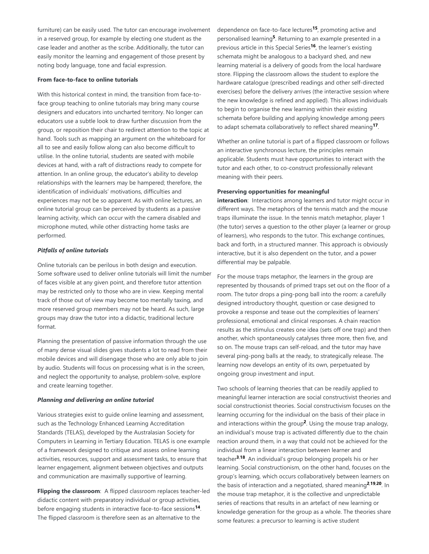furniture) can be easily used. The tutor can encourage involvement in a reserved group, for example by electing one student as the case leader and another as the scribe. Additionally, the tutor can easily monitor the learning and engagement of those present by noting body language, tone and facial expression.

#### **From face-to-face to online tutorials**

With this historical context in mind, the transition from face-toface group teaching to online tutorials may bring many course designers and educators into uncharted territory. No longer can educators use a subtle look to draw further discussion from the group, or reposition their chair to redirect attention to the topic at hand. Tools such as mapping an argument on the whiteboard for all to see and easily follow along can also become difficult to utilise. In the online tutorial, students are seated with mobile devices at hand, with a raft of distractions ready to compete for attention. In an online group, the educator's ability to develop relationships with the learners may be hampered; therefore, the identification of individuals' motivations, difficulties and experiences may not be so apparent. As with online lectures, an online tutorial group can be perceived by students as a passive learning activity, which can occur with the camera disabled and microphone muted, while other distracting home tasks are performed.

#### *Pitfalls of online tutorials*

Online tutorials can be perilous in both design and execution. Some software used to deliver online tutorials will limit the number of faces visible at any given point, and therefore tutor attention may be restricted only to those who are in view. Keeping mental track of those out of view may become too mentally taxing, and more reserved group members may not be heard. As such, large groups may draw the tutor into a didactic, traditional lecture format.

Planning the presentation of passive information through the use of many dense visual slides gives students a lot to read from their mobile devices and will disengage those who are only able to join by audio. Students will focus on processing what is in the screen, and neglect the opportunity to analyse, problem-solve, explore and create learning together.

#### *Planning and delivering an online tutorial*

Various strategies exist to guide online learning and assessment, such as the Technology Enhanced Learning Accreditation Standards (TELAS), developed by the Australasian Society for Computers in Learning in Tertiary Education. TELAS is one example of a framework designed to critique and assess online learning activities, resources, support and assessment tasks, to ensure that learner engagement, alignment between objectives and outputs and communication are maximally supportive of learning.

**Flipping the classroom**: A flipped classroom replaces teacher-led didactic content with preparatory individual or group activities, before engaging students in interactive face-to-face sessions<sup>14</sup>. The flipped classroom is therefore seen as an alternative to the

dependence on face-to-face lectures<sup>15</sup>, promoting active and personalised learning<sup>5</sup>. Returning to an example presented in a previous article in this Special Series<sup>16</sup>, the learner's existing schemata might be analogous to a backyard shed, and new learning material is a delivery of goods from the local hardware store. Flipping the classroom allows the student to explore the hardware catalogue (prescribed readings and other self-directed exercises) before the delivery arrives (the interactive session where the new knowledge is refined and applied). This allows individuals to begin to organise the new learning within their existing schemata before building and applying knowledge among peers to adapt schemata collaboratively to reflect shared meaning<sup>17</sup>.

Whether an online tutorial is part of a flipped classroom or follows an interactive synchronous lecture, the principles remain applicable. Students must have opportunities to interact with the tutor and each other, to co-construct professionally relevant meaning with their peers.

#### **Preserving opportunities for meaningful**

**interaction**: Interactions among learners and tutor might occur in different ways. The metaphors of the tennis match and the mouse traps illuminate the issue. In the tennis match metaphor, player 1 (the tutor) serves a question to the other player (a learner or group of learners), who responds to the tutor. This exchange continues, back and forth, in a structured manner. This approach is obviously interactive, but it is also dependent on the tutor, and a power differential may be palpable.

For the mouse traps metaphor, the learners in the group are represented by thousands of primed traps set out on the floor of a room. The tutor drops a ping-pong ball into the room: a carefully designed introductory thought, question or case designed to provoke a response and tease out the complexities of learners' professional, emotional and clinical responses. A chain reaction results as the stimulus creates one idea (sets off one trap) and then another, which spontaneously catalyses three more, then five, and so on. The mouse traps can self-reload, and the tutor may have several ping-pong balls at the ready, to strategically release. The learning now develops an entity of its own, perpetuated by ongoing group investment and input.

Two schools of learning theories that can be readily applied to meaningful learner interaction are social constructivist theories and social constructionist theories. Social constructivism focuses on the learning occurring for the individual on the basis of their place in and interactions within the group<sup>2</sup>. Using the mouse trap analogy, an individual's mouse trap is activated differently due to the chain reaction around them, in a way that could not be achieved for the individual from a linear interaction between learner and teacher<sup>3,18</sup>. An individual's group belonging propels his or her learning. Social constructionism, on the other hand, focuses on the group's learning, which occurs collaboratively between learners on the basis of interaction and a negotiated, shared meaning<sup>2,19,20</sup>. In the mouse trap metaphor, it is the collective and unpredictable series of reactions that results in an artefact of new learning or knowledge generation for the group as a whole. The theories share some features: a precursor to learning is active student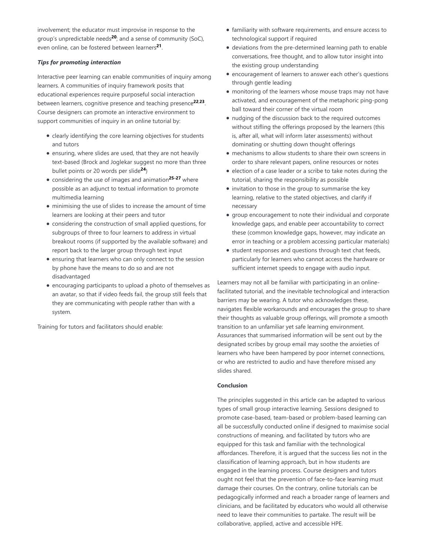involvement; the educator must improvise in response to the group's unpredictable needs<sup>20</sup>; and a sense of community (SoC), even online, can be fostered between learners<sup>21</sup>.

#### *Tips for promoting interaction*

Interactive peer learning can enable communities of inquiry among learners. A communities of inquiry framework posits that educational experiences require purposeful social interaction between learners, cognitive presence and teaching presence<sup>22,23</sup>. Course designers can promote an interactive environment to support communities of inquiry in an online tutorial by:

- clearly identifying the core learning objectives for students and tutors
- ensuring, where slides are used, that they are not heavily text-based (Brock and Joglekar suggest no more than three bullet points or 20 words per slide<sup>24</sup>)
- considering the use of images and animation<sup>25-27</sup> where possible as an adjunct to textual information to promote multimedia learning
- minimising the use of slides to increase the amount of time learners are looking at their peers and tutor
- considering the construction of small applied questions, for subgroups of three to four learners to address in virtual breakout rooms (if supported by the available software) and report back to the larger group through text input
- ensuring that learners who can only connect to the session by phone have the means to do so and are not disadvantaged
- encouraging participants to upload a photo of themselves as an avatar, so that if video feeds fail, the group still feels that they are communicating with people rather than with a system.

Training for tutors and facilitators should enable:

- familiarity with software requirements, and ensure access to technological support if required
- deviations from the pre-determined learning path to enable conversations, free thought, and to allow tutor insight into the existing group understanding
- encouragement of learners to answer each other's questions through gentle leading
- monitoring of the learners whose mouse traps may not have activated, and encouragement of the metaphoric ping-pong ball toward their corner of the virtual room
- nudging of the discussion back to the required outcomes without stifling the offerings proposed by the learners (this is, after all, what will inform later assessments) without dominating or shutting down thought offerings
- mechanisms to allow students to share their own screens in order to share relevant papers, online resources or notes
- election of a case leader or a scribe to take notes during the tutorial, sharing the responsibility as possible
- invitation to those in the group to summarise the key learning, relative to the stated objectives, and clarify if necessary
- group encouragement to note their individual and corporate knowledge gaps, and enable peer accountability to correct these (common knowledge gaps, however, may indicate an error in teaching or a problem accessing particular materials)
- student responses and questions through text chat feeds, particularly for learners who cannot access the hardware or sufficient internet speeds to engage with audio input.

Learners may not all be familiar with participating in an onlinefacilitated tutorial, and the inevitable technological and interaction barriers may be wearing. A tutor who acknowledges these, navigates flexible workarounds and encourages the group to share their thoughts as valuable group offerings, will promote a smooth transition to an unfamiliar yet safe learning environment. Assurances that summarised information will be sent out by the designated scribes by group email may soothe the anxieties of learners who have been hampered by poor internet connections, or who are restricted to audio and have therefore missed any slides shared.

#### **Conclusion**

The principles suggested in this article can be adapted to various types of small group interactive learning. Sessions designed to promote case-based, team-based or problem-based learning can all be successfully conducted online if designed to maximise social constructions of meaning, and facilitated by tutors who are equipped for this task and familiar with the technological affordances. Therefore, it is argued that the success lies not in the classification of learning approach, but in how students are engaged in the learning process. Course designers and tutors ought not feel that the prevention of face-to-face learning must damage their courses. On the contrary, online tutorials can be pedagogically informed and reach a broader range of learners and clinicians, and be facilitated by educators who would all otherwise need to leave their communities to partake. The result will be collaborative, applied, active and accessible HPE.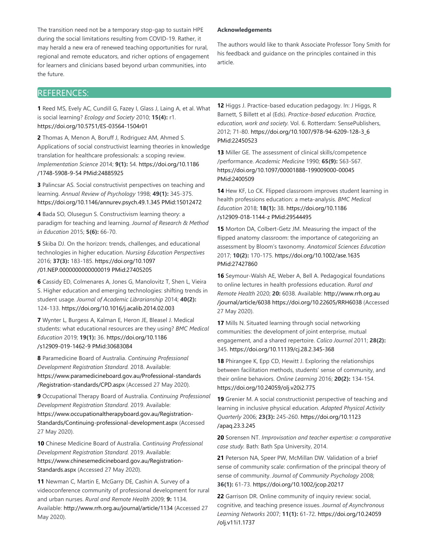The transition need not be a temporary stop-gap to sustain HPE during the social limitations resulting from COVID-19. Rather, it may herald a new era of renewed teaching opportunities for rural, regional and remote educators, and richer options of engagement for learners and clinicians based beyond urban communities, into the future.

#### **Acknowledgements**

The authors would like to thank Associate Professor Tony Smith for his feedback and guidance on the principles contained in this article.

## REFERENCES:

**1** Reed MS, Evely AC, Cundill G, Fazey I, Glass J, Laing A, et al. What is social learning? *Ecology and Society* 2010; **15(4):** r1. https://doi.org/10.5751/ES-03564-1504r01

**2** Thomas A, Menon A, Boruff J, Rodriguez AM, Ahmed S. Applications of social constructivist learning theories in knowledge translation for healthcare professionals: a scoping review. *Implementation Science* 2014; **9(1):** 54. https://doi.org/10.1186 /1748-5908-9-54 PMid:24885925

**3** Palincsar AS. Social constructivist perspectives on teaching and learning. *Annual Review of Psychology* 1998; **49(1):** 345-375. https://doi.org/10.1146/annurev.psych.49.1.345 PMid:15012472

**4** Bada SO, Olusegun S. Constructivism learning theory: a paradigm for teaching and learning. *Journal of Research & Method in Education* 2015; **5(6):** 66-70.

**5** Skiba DJ. On the horizon: trends, challenges, and educational technologies in higher education. *Nursing Education Perspectives* 2016; **37(3):** 183-185. https://doi.org/10.1097 /01.NEP.0000000000000019 PMid:27405205

**6** Cassidy ED, Colmenares A, Jones G, Manolovitz T, Shen L, Vieira S. Higher education and emerging technologies: shifting trends in student usage. *Journal of Academic Librarianship* 2014; **40(2):** 124-133. https://doi.org/10.1016/j.acalib.2014.02.003

**7** Wynter L, Burgess A, Kalman E, Heron JE, Bleasel J. Medical students: what educational resources are they using? *BMC Medical Education* 2019; **19(1):** 36. https://doi.org/10.1186 /s12909-019-1462-9 PMid:30683084

**8** Paramedicine Board of Australia. *Continuing Professional Development Registration Standard.* 2018. Available: https://www.paramedicineboard.gov.au/Professional-standards /Registration-standards/CPD.aspx (Accessed 27 May 2020).

**9** Occupational Therapy Board of Australia. *Continuing Professional Development Registration Standard.* 2019. Available: https://www.occupationaltherapyboard.gov.au/Registration-Standards/Continuing-professional-development.aspx (Accessed 27 May 2020).

**10** Chinese Medicine Board of Australia. *Continuing Professional Development Registration Standard.* 2019. Available: https://www.chinesemedicineboard.gov.au/Registration-Standards.aspx (Accessed 27 May 2020).

**11** Newman C, Martin E, McGarry DE, Cashin A. Survey of a videoconference community of professional development for rural and urban nurses. *Rural and Remote Health* 2009; **9:** 1134. Available: http://www.rrh.org.au/journal/article/1134 (Accessed 27 May 2020).

**12** Higgs J. Practice-based education pedagogy. In: J Higgs, R Barnett, S Billett et al (Eds). *Practice-based education. Practice, education, work and society.* Vol. 6. Rotterdam: SensePublishers, 2012; 71-80. https://doi.org/10.1007/978-94-6209-128-3\_6 PMid:22450523

**13** Miller GE. The assessment of clinical skills/competence /performance. *Academic Medicine* 1990; **65(9):** S63-S67. https://doi.org/10.1097/00001888-199009000-00045 PMid:2400509

**14** Hew KF, Lo CK. Flipped classroom improves student learning in health professions education: a meta-analysis. *BMC Medical Education* 2018; **18(1):** 38. https://doi.org/10.1186 /s12909-018-1144-z PMid:29544495

**15** Morton DA, Colbert-Getz JM. Measuring the impact of the flipped anatomy classroom: the importance of categorizing an assessment by Bloom's taxonomy. *Anatomical Sciences Education* 2017; **10(2):** 170-175. https://doi.org/10.1002/ase.1635 PMid:27427860

**16** Seymour-Walsh AE, Weber A, Bell A. Pedagogical foundations to online lectures in health professions education. *Rural and Remote Health* 2020; **20:** 6038. Available: http://www.rrh.org.au /journal/article/6038 https://doi.org/10.22605/RRH6038 (Accessed 27 May 2020).

**17** Mills N. Situated learning through social networking communities: the development of joint enterprise, mutual engagement, and a shared repertoire. *Calico Journal* 2011; **28(2):** 345. https://doi.org/10.11139/cj.28.2.345-368

**18** Phirangee K, Epp CD, Hewitt J. Exploring the relationships between facilitation methods, students' sense of community, and their online behaviors. *Online Learning* 2016; **20(2):** 134-154. https://doi.org/10.24059/olj.v20i2.775

**19** Grenier M. A social constructionist perspective of teaching and learning in inclusive physical education. *Adapted Physical Activity Quarterly* 2006; **23(3):** 245-260. https://doi.org/10.1123 /apaq.23.3.245

**20** Sorensen NT. *Improvisation and teacher expertise: a comparative case study.* Bath: Bath Spa University, 2014.

**21** Peterson NA, Speer PW, McMillan DW. Validation of a brief sense of community scale: confirmation of the principal theory of sense of community. *Journal of Community Psychology* 2008; **36(1):** 61-73. https://doi.org/10.1002/jcop.20217

**22** Garrison DR. Online community of inquiry review: social, cognitive, and teaching presence issues. *Journal of Asynchronous Learning Networks* 2007; **11(1):** 61-72. https://doi.org/10.24059 /olj.v11i1.1737